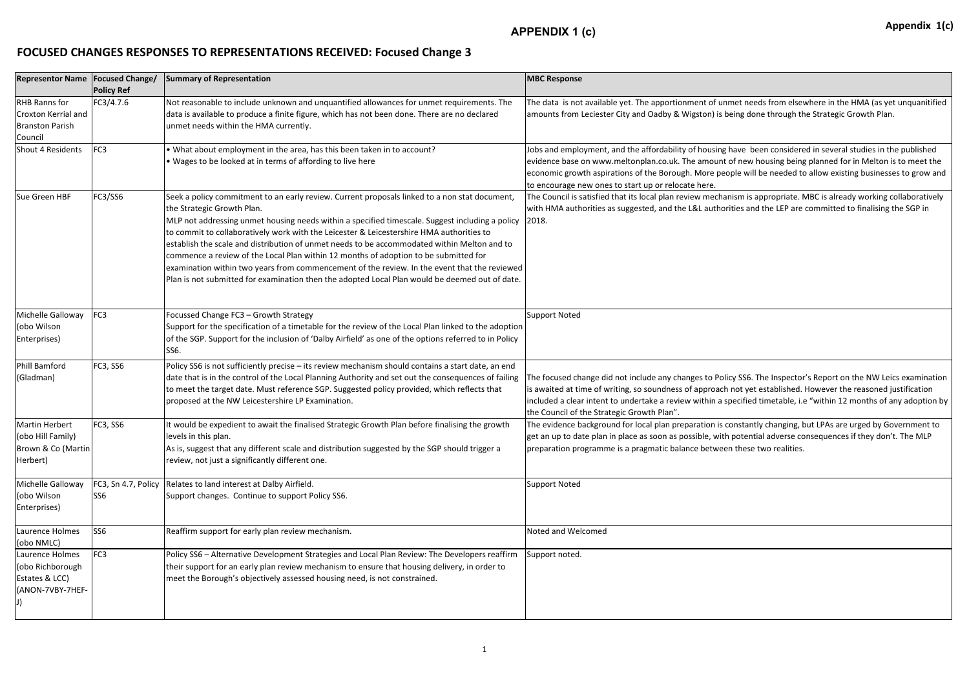## **FOCUSED CHANGES RESPONSES TO REPRESENTATIONS RECEIVED: Focused Change 3**

| <b>Representor Name   Focused Change/</b>                                        | <b>Policy Ref</b> | Summary of Representation                                                                                                                                                                                                                                                                                                                                                                                                                                                                                                                                                                                                                                                                                           | <b>MBC Response</b>                                                                                                                                                                                                           |
|----------------------------------------------------------------------------------|-------------------|---------------------------------------------------------------------------------------------------------------------------------------------------------------------------------------------------------------------------------------------------------------------------------------------------------------------------------------------------------------------------------------------------------------------------------------------------------------------------------------------------------------------------------------------------------------------------------------------------------------------------------------------------------------------------------------------------------------------|-------------------------------------------------------------------------------------------------------------------------------------------------------------------------------------------------------------------------------|
| <b>RHB Ranns for</b><br>Croxton Kerrial and<br><b>Branston Parish</b><br>Council | FC3/4.7.6         | Not reasonable to include unknown and unquantified allowances for unmet requirements. The<br>data is available to produce a finite figure, which has not been done. There are no declared<br>unmet needs within the HMA currently.                                                                                                                                                                                                                                                                                                                                                                                                                                                                                  | The data is not available yet. The apportionment of unn<br>amounts from Leciester City and Oadby & Wigston) is be                                                                                                             |
| Shout 4 Residents                                                                | FC <sub>3</sub>   | • What about employment in the area, has this been taken in to account?<br>. Wages to be looked at in terms of affording to live here                                                                                                                                                                                                                                                                                                                                                                                                                                                                                                                                                                               | Jobs and employment, and the affordability of housing h<br>evidence base on www.meltonplan.co.uk. The amount o<br>economic growth aspirations of the Borough. More peo<br>to encourage new ones to start up or relocate here. |
| Sue Green HBF                                                                    | FC3/SS6           | Seek a policy commitment to an early review. Current proposals linked to a non stat document,<br>the Strategic Growth Plan.<br>MLP not addressing unmet housing needs within a specified timescale. Suggest including a policy<br>to commit to collaboratively work with the Leicester & Leicestershire HMA authorities to<br>establish the scale and distribution of unmet needs to be accommodated within Melton and to<br>commence a review of the Local Plan within 12 months of adoption to be submitted for<br>examination within two years from commencement of the review. In the event that the reviewed<br>Plan is not submitted for examination then the adopted Local Plan would be deemed out of date. | The Council is satisfied that its local plan review mechan<br>with HMA authorities as suggested, and the L&L authori<br>2018.                                                                                                 |
| Michelle Galloway<br>(obo Wilson<br>Enterprises)                                 | FC <sub>3</sub>   | Focussed Change FC3 - Growth Strategy<br>Support for the specification of a timetable for the review of the Local Plan linked to the adoption<br>of the SGP. Support for the inclusion of 'Dalby Airfield' as one of the options referred to in Policy<br>SS6.                                                                                                                                                                                                                                                                                                                                                                                                                                                      | <b>Support Noted</b>                                                                                                                                                                                                          |
| Phill Bamford<br>(Gladman)                                                       | FC3, SS6          | Policy SS6 is not sufficiently precise - its review mechanism should contains a start date, an end<br>date that is in the control of the Local Planning Authority and set out the consequences of failing<br>to meet the target date. Must reference SGP. Suggested policy provided, which reflects that<br>proposed at the NW Leicestershire LP Examination.                                                                                                                                                                                                                                                                                                                                                       | The focused change did not include any changes to Polic<br>is awaited at time of writing, so soundness of approach<br>included a clear intent to undertake a review within a sp<br>the Council of the Strategic Growth Plan". |
| Martin Herbert<br>(obo Hill Family)<br>Brown & Co (Martin<br>Herbert)            | FC3, SS6          | It would be expedient to await the finalised Strategic Growth Plan before finalising the growth<br>llevels in this plan.<br>As is, suggest that any different scale and distribution suggested by the SGP should trigger a<br>review, not just a significantly different one.                                                                                                                                                                                                                                                                                                                                                                                                                                       | The evidence background for local plan preparation is co<br>get an up to date plan in place as soon as possible, with<br>preparation programme is a pragmatic balance betweer                                                 |
| Michelle Galloway<br>(obo Wilson<br>Enterprises)                                 | SS <sub>6</sub>   | <b>FC3, Sn 4.7, Policy Relates to land interest at Dalby Airfield.</b><br>Support changes. Continue to support Policy SS6.                                                                                                                                                                                                                                                                                                                                                                                                                                                                                                                                                                                          | <b>Support Noted</b>                                                                                                                                                                                                          |
| Laurence Holmes<br>(obo NMLC)                                                    | SS <sub>6</sub>   | Reaffirm support for early plan review mechanism.                                                                                                                                                                                                                                                                                                                                                                                                                                                                                                                                                                                                                                                                   | Noted and Welcomed                                                                                                                                                                                                            |
| Laurence Holmes<br>(obo Richborough<br>Estates & LCC)<br>(ANON-7VBY-7HEF-        | FC <sub>3</sub>   | Policy SS6 - Alternative Development Strategies and Local Plan Review: The Developers reaffirm<br>their support for an early plan review mechanism to ensure that housing delivery, in order to<br>meet the Borough's objectively assessed housing need, is not constrained.                                                                                                                                                                                                                                                                                                                                                                                                                                        | Support noted.                                                                                                                                                                                                                |

met needs from elsewhere in the HMA (as yet unquanitified eing done through the Strategic Growth Plan.

have been considered in several studies in the published of new housing being planned for in Melton is to meet the pple will be needed to allow existing businesses to grow and

nism is appropriate. MBC is already working collaboratively ities and the LEP are committed to finalising the SGP in

cy SS6. The Inspector's Report on the NW Leics examination not yet established. However the reasoned justification pecified timetable, i.e "within 12 months of any adoption by

onstantly changing, but LPAs are urged by Government to potential adverse consequences if they don't. The MLP n these two realities.

## **APPENDIX 1 (c)**